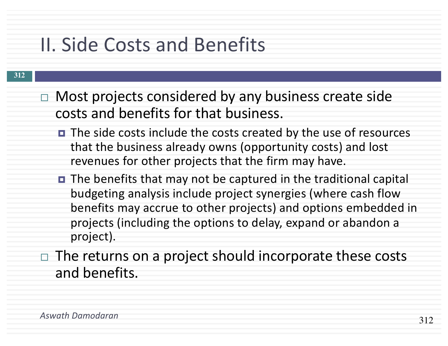# II. Side Costs and Benefits

- $\Box$  Most projects considered by any business create side costs and benefits for that business.
	- The side costs include the costs created by the use of resources that the business already owns (opportunity costs) and lost revenues for other projects that the firm may have.
	- The benefits that may not be captured in the traditional capital budgeting analysis include project synergies (where cash flow benefits may accrue to other projects) and options embedded in projects (including the options to delay, expand or abandon a project).
- $\Box$  The returns on a project should incorporate these costs and benefits.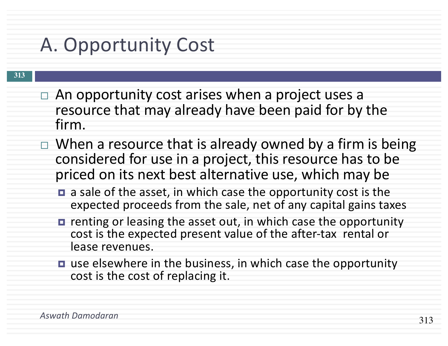# A. Opportunity Cost

- $\Box$  An opportunity cost arises when a project uses a resource that may already have been paid for by the firm.
- $\Box$  When a resource that is already owned by a firm is being considered for use in a project, this resource has to be priced on its next best alternative use, which may be
	- **□** a sale of the asset, in which case the opportunity cost is the expected proceeds from the sale, net of any capital gains taxes
	- **□** renting or leasing the asset out, in which case the opportunity cost is the expected present value of the after-tax rental or lease revenues.
	- **□** use elsewhere in the business, in which case the opportunity cost is the cost of replacing it.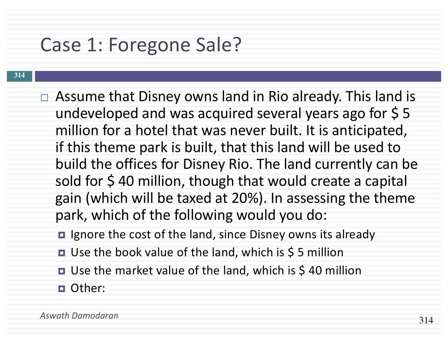### Case 1: Foregone Sale?

- **314**
- $\Box$  Assume that Disney owns land in Rio already. This land is undeveloped and was acquired several years ago for  $\frac{1}{5}$  5 million for a hotel that was never built. It is anticipated, if this theme park is built, that this land will be used to build the offices for Disney Rio. The land currently can be sold for \$40 million, though that would create a capital gain (which will be taxed at 20%). In assessing the theme park, which of the following would you do:
	- Ignore the cost of the land, since Disney owns its already
	- Use the book value of the land, which is \$5 million
	- Use the market value of the land, which is \$40 million
	- ¤ Other: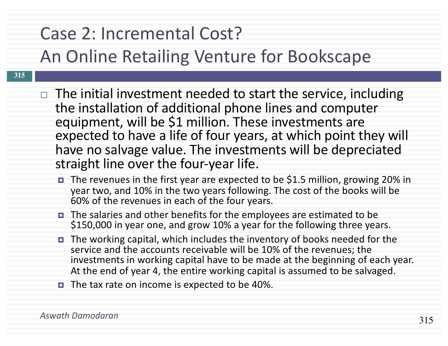#### Case 2: Incremental Cost?

#### An Online Retailing Venture for Bookscape

- **315**
- $\Box$  The initial investment needed to start the service, including the installation of additional phone lines and computer equipment, will be \$1 million. These investments are expected to have a life of four years, at which point they will have no salvage value. The investments will be depreciated straight line over the four-year life.
	- The revenues in the first year are expected to be \$1.5 million, growing 20% in year two, and 10% in the two years following. The cost of the books will be 60% of the revenues in each of the four years.
	- ¤ The salaries and other benefits for the employees are estimated to be \$150,000 in year one, and grow 10% a year for the following three years.
	- The working capital, which includes the inventory of books needed for the service and the accounts receivable will be 10% of the revenues; the investments in working capital have to be made at the beginning of each year. At the end of year 4, the entire working capital is assumed to be salvaged.
	- The tax rate on income is expected to be 40%.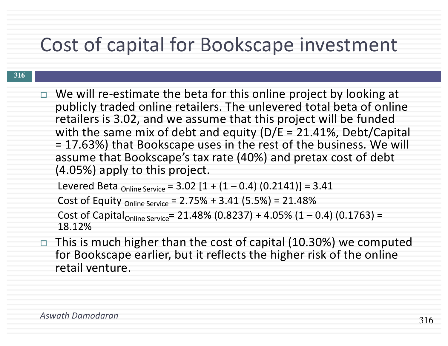## Cost of capital for Bookscape investment

#### **316**

 $\Box$  We will re-estimate the beta for this online project by looking at publicly traded online retailers. The unlevered total beta of online retailers is 3.02, and we assume that this project will be funded with the same mix of debt and equity ( $D/E = 21.41\%$ , Debt/Capital = 17.63%) that Bookscape uses in the rest of the business. We will assume that Bookscape's tax rate (40%) and pretax cost of debt (4.05%) apply to this project.

Levered Beta <sub>Online Service</sub> =  $3.02$   $[1 + (1 - 0.4)$   $(0.2141)] = 3.41$ 

Cost of Equity <sub>Online Service</sub> =  $2.75% + 3.41$  (5.5%) =  $21.48%$ 

Cost of Capital<sub>Online Service</sub>= 21.48% (0.8237) + 4.05% (1 – 0.4) (0.1763) = 18.12%

 $\Box$  This is much higher than the cost of capital (10.30%) we computed for Bookscape earlier, but it reflects the higher risk of the online retail venture.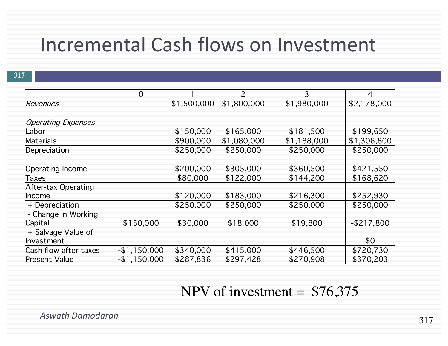### Incremental Cash flows on Investment

|                           | $\Omega$      |             | $\overline{\phantom{0}}$ | 3           | $\overline{4}$ |
|---------------------------|---------------|-------------|--------------------------|-------------|----------------|
| Revenues                  |               | \$1,500,000 | \$1,800,000              | \$1,980,000 | \$2,178,000    |
|                           |               |             |                          |             |                |
| <b>Operating Expenses</b> |               |             |                          |             |                |
| Labor                     |               | \$150,000   | \$165,000                | \$181,500   | \$199,650      |
| Materials                 |               | \$900,000   | \$1,080,000              | \$1,188,000 | \$1,306,800    |
| Depreciation              |               | \$250,000   | \$250,000                | \$250,000   | \$250,000      |
|                           |               |             |                          |             |                |
| Operating Income          |               | \$200,000   | \$305,000                | \$360,500   | \$421,550      |
| Taxes                     |               | \$80,000    | \$122,000                | \$144,200   | \$168,620      |
| After-tax Operating       |               |             |                          |             |                |
| <b>Income</b>             |               | \$120,000   | \$183,000                | \$216,300   | \$252,930      |
| + Depreciation            |               | \$250,000   | \$250,000                | \$250,000   | \$250,000      |
| - Change in Working       |               |             |                          |             |                |
| Capital                   | \$150,000     | \$30,000    | \$18,000                 | \$19,800    | $-$217,800$    |
| + Salvage Value of        |               |             |                          |             |                |
| Investment                |               |             |                          |             | \$0            |
| Cash flow after taxes     | $-$1,150,000$ | \$340,000   | \$415,000                | \$446,500   | \$720,730      |
| <b>Present Value</b>      | $-$1,150,000$ | \$287,836   | \$297,428                | \$270,908   | \$370,203      |

NPV of investment =  $$76,375$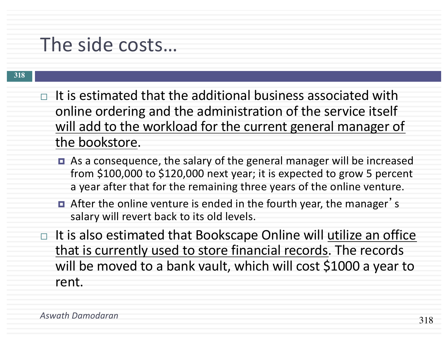### The side costs…

- $\Box$  It is estimated that the additional business associated with online ordering and the administration of the service itself will add to the workload for the current general manager of the bookstore.
	- As a consequence, the salary of the general manager will be increased from \$100,000 to \$120,000 next year; it is expected to grow 5 percent a year after that for the remaining three years of the online venture.
	- **n** After the online venture is ended in the fourth year, the manager's salary will revert back to its old levels.
- $\Box$  It is also estimated that Bookscape Online will utilize an office that is currently used to store financial records. The records will be moved to a bank vault, which will cost \$1000 a year to rent.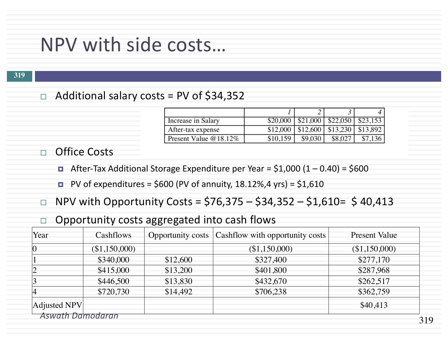#### NPV with side costs…

#### $\Box$  Additional salary costs = PV of \$34,352

| Increase in Salary    |          |         | $$20,000$   $$21,000$   $$22,050$   $$23,153$ |         |
|-----------------------|----------|---------|-----------------------------------------------|---------|
| After-tax expense     |          |         | $$12,000$   \$12,600   \$13,230   \$13,892    |         |
| Present Value @18.12% | \$10,159 | \$9,030 | \$8,027                                       | \$7,136 |

□ Office Costs

- **E** After-Tax Additional Storage Expenditure per Year = \$1,000  $(1 0.40)$  = \$600
- $\blacksquare$  PV of expenditures = \$600 (PV of annuity, 18.12%,4 yrs) = \$1,610
- $\Box$  NPV with Opportunity Costs = \$76,375 \$34,352 \$1,610= \$40,413
- $\Box$  Opportunity costs aggregated into cash flows

| Year                           | Cashflows     |          | Opportunity costs   Cashflow with opportunity costs | <b>Present Value</b> |  |  |
|--------------------------------|---------------|----------|-----------------------------------------------------|----------------------|--|--|
| $\vert 0 \vert$                | (\$1,150,000) |          | (\$1,150,000)                                       | (\$1,150,000)        |  |  |
|                                | \$340,000     | \$12,600 | \$327,400                                           | \$277,170            |  |  |
|                                | \$415,000     | \$13,200 | \$401,800                                           | \$287,968            |  |  |
|                                | \$446,500     | \$13,830 | \$432,670                                           | \$262,517            |  |  |
| 4                              | \$720,730     | \$14,492 | \$706,238                                           | \$362,759            |  |  |
| Adjusted NPV                   |               |          |                                                     | \$40,413             |  |  |
| <b>Aswath Damodaran</b><br>310 |               |          |                                                     |                      |  |  |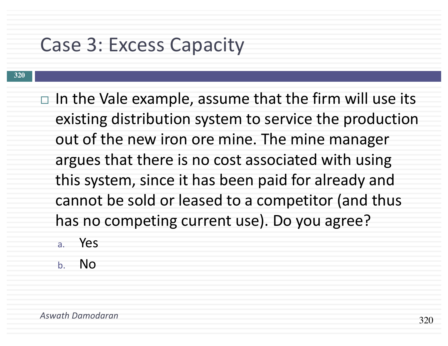### Case 3: Excess Capacity

- $\Box$  In the Vale example, assume that the firm will use its existing distribution system to service the production out of the new iron ore mine. The mine manager argues that there is no cost associated with using this system, since it has been paid for already and cannot be sold or leased to a competitor (and thus has no competing current use). Do you agree?
	- a. Yes
	- b. No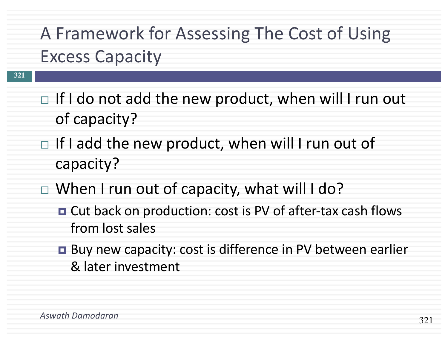# A Framework for Assessing The Cost of Using Excess Capacity

- $\Box$  If I do not add the new product, when will I run out of capacity?
- $\Box$  If I add the new product, when will I run out of capacity?
- $\Box$  When I run out of capacity, what will I do?
	- Cut back on production: cost is PV of after-tax cash flows from lost sales
	- Buy new capacity: cost is difference in PV between earlier & later investment